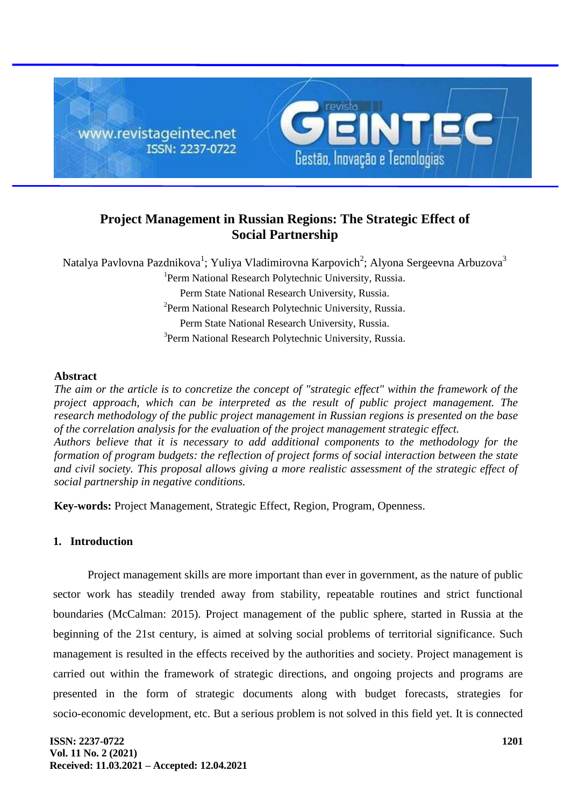

# **Project Management in Russian Regions: The Strategic Effect of Social Partnership**

Natalya Pavlovna Pazdnikova<sup>1</sup>; Yuliya Vladimirovna Karpovich<sup>2</sup>; Alyona Sergeevna Arbuzova<sup>3</sup> <sup>1</sup>Perm National Research Polytechnic University, Russia. Perm State National Research University, Russia. <sup>2</sup> Perm National Research Polytechnic University, Russia. Perm State National Research University, Russia. <sup>3</sup>Perm National Research Polytechnic University, Russia.

## **Abstract**

*The aim or the article is to concretize the concept of "strategic effect" within the framework of the project approach, which can be interpreted as the result of public project management. The research methodology of the public project management in Russian regions is presented on the base of the correlation analysis for the evaluation of the project management strategic effect. Authors believe that it is necessary to add additional components to the methodology for the formation of program budgets: the reflection of project forms of social interaction between the state and civil society. This proposal allows giving a more realistic assessment of the strategic effect of social partnership in negative conditions.*

**Key-words:** Project Management, Strategic Effect, Region, Program, Openness.

# **1. Introduction**

Project management skills are more important than ever in government, as the nature of public sector work has steadily trended away from stability, repeatable routines and strict functional boundaries (McCalman: 2015). Project management of the public sphere, started in Russia at the beginning of the 21st century, is aimed at solving social problems of territorial significance. Such management is resulted in the effects received by the authorities and society. Project management is carried out within the framework of strategic directions, and ongoing projects and programs are presented in the form of strategic documents along with budget forecasts, strategies for socio-economic development, etc. But a serious problem is not solved in this field yet. It is connected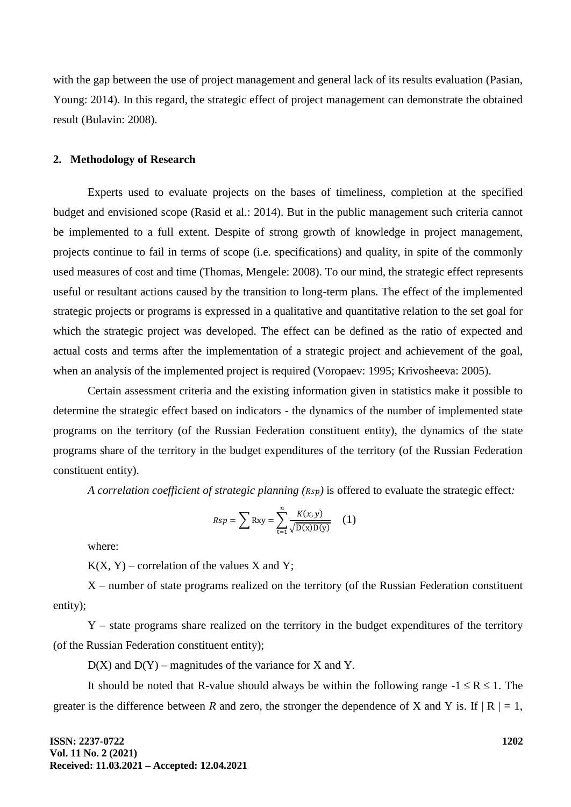with the gap between the use of project management and general lack of its results evaluation (Pasian, Young: 2014). In this regard, the strategic effect of project management can demonstrate the obtained result (Bulavin: 2008).

#### **2. Methodology of Research**

Experts used to evaluate projects on the bases of timeliness, completion at the specified budget and envisioned scope (Rasid et al.: 2014). But in the public management such criteria cannot be implemented to a full extent. Despite of strong growth of knowledge in project management, projects continue to fail in terms of scope (i.e. specifications) and quality, in spite of the commonly used measures of cost and time (Thomas, Mengele: 2008). To our mind, the strategic effect represents useful or resultant actions caused by the transition to long-term plans. The effect of the implemented strategic projects or programs is expressed in a qualitative and quantitative relation to the set goal for which the strategic project was developed. The effect can be defined as the ratio of expected and actual costs and terms after the implementation of a strategic project and achievement of the goal, when an analysis of the implemented project is required (Voropaev: 1995; Krivosheeva: 2005).

Certain assessment criteria and the existing information given in statistics make it possible to determine the strategic effect based on indicators - the dynamics of the number of implemented state programs on the territory (of the Russian Federation constituent entity), the dynamics of the state programs share of the territory in the budget expenditures of the territory (of the Russian Federation constituent entity).

*A correlation coefficient of strategic planning*  $(Rsp)$  is offered to evaluate the strategic effect:

$$
Rsp = \sum \text{Rxy} = \sum_{t=1}^{n} \frac{K(x, y)}{\sqrt{\text{D(x)D(y)}}}
$$
 (1)

where:

 $K(X, Y)$  – correlation of the values X and Y;

X – number of state programs realized on the territory (of the Russian Federation constituent entity);

Y – state programs share realized on the territory in the budget expenditures of the territory (of the Russian Federation constituent entity);

 $D(X)$  and  $D(Y)$  – magnitudes of the variance for X and Y.

It should be noted that R-value should always be within the following range  $-1 \le R \le 1$ . The greater is the difference between *R* and zero, the stronger the dependence of X and Y is. If  $|R| = 1$ ,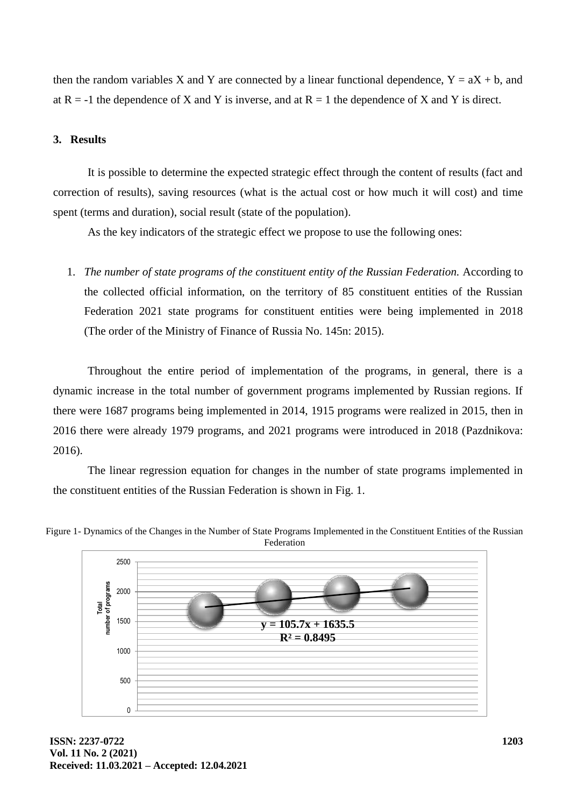then the random variables X and Y are connected by a linear functional dependence,  $Y = aX + b$ , and at  $R = -1$  the dependence of X and Y is inverse, and at  $R = 1$  the dependence of X and Y is direct.

## **3. Results**

It is possible to determine the expected strategic effect through the content of results (fact and correction of results), saving resources (what is the actual cost or how much it will cost) and time spent (terms and duration), social result (state of the population).

As the key indicators of the strategic effect we propose to use the following ones:

1. *The number of state programs of the constituent entity of the Russian Federation.* According to the collected official information, on the territory of 85 constituent entities of the Russian Federation 2021 state programs for constituent entities were being implemented in 2018 (The order of the Ministry of Finance of Russia No. 145n: 2015).

Throughout the entire period of implementation of the programs, in general, there is a dynamic increase in the total number of government programs implemented by Russian regions. If there were 1687 programs being implemented in 2014, 1915 programs were realized in 2015, then in 2016 there were already 1979 programs, and 2021 programs were introduced in 2018 (Pazdnikova: 2016).

The linear regression equation for changes in the number of state programs implemented in the constituent entities of the Russian Federation is shown in Fig. 1.



Figure 1- Dynamics of the Changes in the Number of State Programs Implemented in the Constituent Entities of the Russian Federation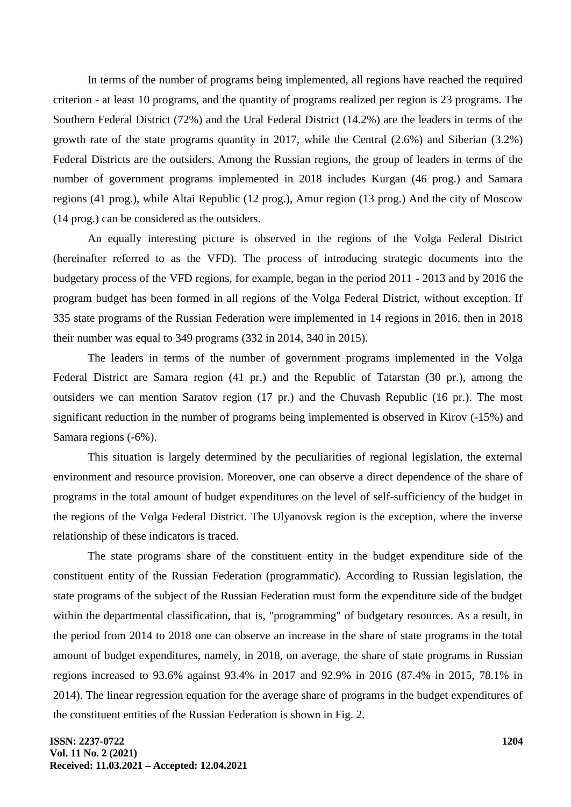In terms of the number of programs being implemented, all regions have reached the required criterion - at least 10 programs, and the quantity of programs realized per region is 23 programs. The Southern Federal District (72%) and the Ural Federal District (14.2%) are the leaders in terms of the growth rate of the state programs quantity in 2017, while the Central (2.6%) and Siberian (3.2%) Federal Districts are the outsiders. Among the Russian regions, the group of leaders in terms of the number of government programs implemented in 2018 includes Kurgan (46 prog.) and Samara regions (41 prog.), while Altai Republic (12 prog.), Amur region (13 prog.) And the city of Moscow (14 prog.) can be considered as the outsiders.

An equally interesting picture is observed in the regions of the Volga Federal District (hereinafter referred to as the VFD). The process of introducing strategic documents into the budgetary process of the VFD regions, for example, began in the period 2011 - 2013 and by 2016 the program budget has been formed in all regions of the Volga Federal District, without exception. If 335 state programs of the Russian Federation were implemented in 14 regions in 2016, then in 2018 their number was equal to 349 programs (332 in 2014, 340 in 2015).

The leaders in terms of the number of government programs implemented in the Volga Federal District are Samara region (41 pr.) and the Republic of Tatarstan (30 pr.), among the outsiders we can mention Saratov region (17 pr.) and the Chuvash Republic (16 pr.). The most significant reduction in the number of programs being implemented is observed in Kirov (-15%) and Samara regions (-6%).

This situation is largely determined by the peculiarities of regional legislation, the external environment and resource provision. Moreover, one can observe a direct dependence of the share of programs in the total amount of budget expenditures on the level of self-sufficiency of the budget in the regions of the Volga Federal District. The Ulyanovsk region is the exception, where the inverse relationship of these indicators is traced.

The state programs share of the constituent entity in the budget expenditure side of the constituent entity of the Russian Federation (programmatic). According to Russian legislation, the state programs of the subject of the Russian Federation must form the expenditure side of the budget within the departmental classification, that is, "programming" of budgetary resources. As a result, in the period from 2014 to 2018 one can observe an increase in the share of state programs in the total amount of budget expenditures, namely, in 2018, on average, the share of state programs in Russian regions increased to 93.6% against 93.4% in 2017 and 92.9% in 2016 (87.4% in 2015, 78.1% in 2014). The linear regression equation for the average share of programs in the budget expenditures of the constituent entities of the Russian Federation is shown in Fig. 2.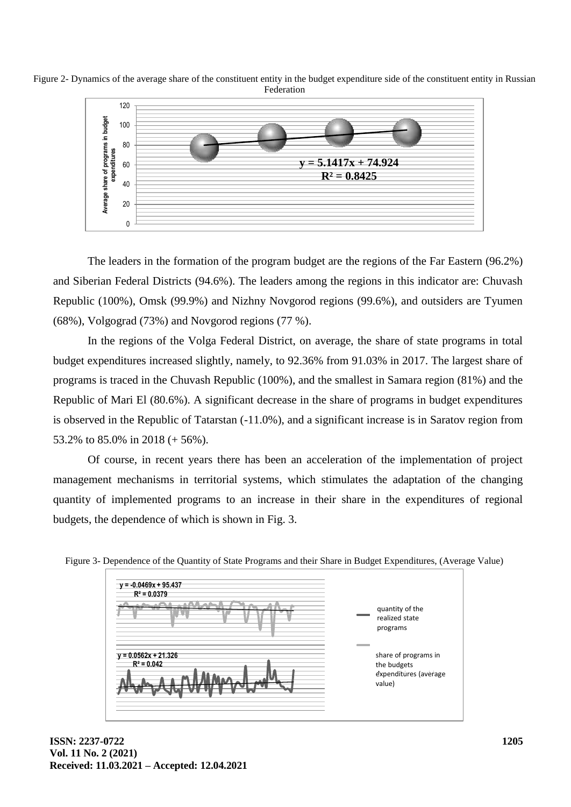



The leaders in the formation of the program budget are the regions of the Far Eastern (96.2%) and Siberian Federal Districts (94.6%). The leaders among the regions in this indicator are: Chuvash Republic (100%), Omsk (99.9%) and Nizhny Novgorod regions (99.6%), and outsiders are Tyumen (68%), Volgograd (73%) and Novgorod regions (77 %).

In the regions of the Volga Federal District, on average, the share of state programs in total budget expenditures increased slightly, namely, to 92.36% from 91.03% in 2017. The largest share of programs is traced in the Chuvash Republic (100%), and the smallest in Samara region (81%) and the Republic of Mari El (80.6%). A significant decrease in the share of programs in budget expenditures is observed in the Republic of Tatarstan (-11.0%), and a significant increase is in Saratov region from 53.2% to 85.0% in 2018 (+ 56%).

Of course, in recent years there has been an acceleration of the implementation of project management mechanisms in territorial systems, which stimulates the adaptation of the changing quantity of implemented programs to an increase in their share in the expenditures of regional budgets, the dependence of which is shown in Fig. 3.



Figure 3- Dependence of the Quantity of State Programs and their Share in Budget Expenditures, (Average Value)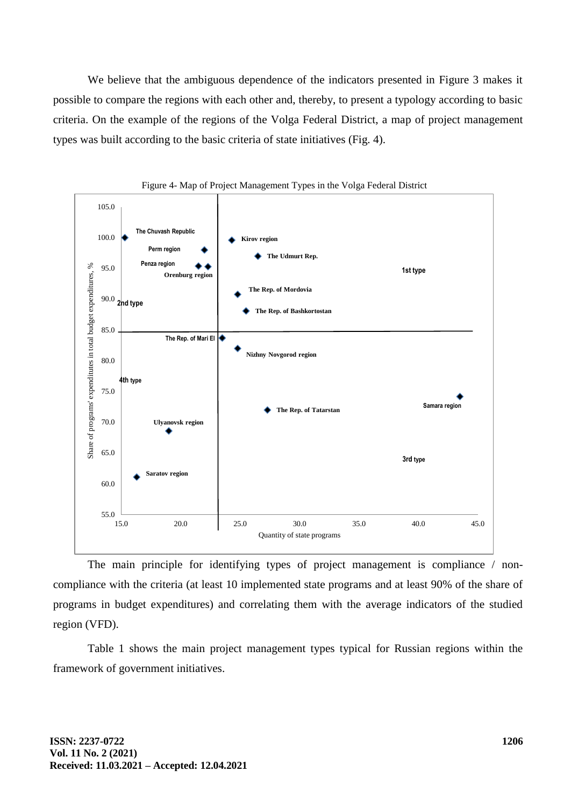We believe that the ambiguous dependence of the indicators presented in Figure 3 makes it possible to compare the regions with each other and, thereby, to present a typology according to basic criteria. On the example of the regions of the Volga Federal District, a map of project management types was built according to the basic criteria of state initiatives (Fig. 4).





The main principle for identifying types of project management is compliance / noncompliance with the criteria (at least 10 implemented state programs and at least 90% of the share of programs in budget expenditures) and correlating them with the average indicators of the studied region (VFD).

Table 1 shows the main project management types typical for Russian regions within the framework of government initiatives.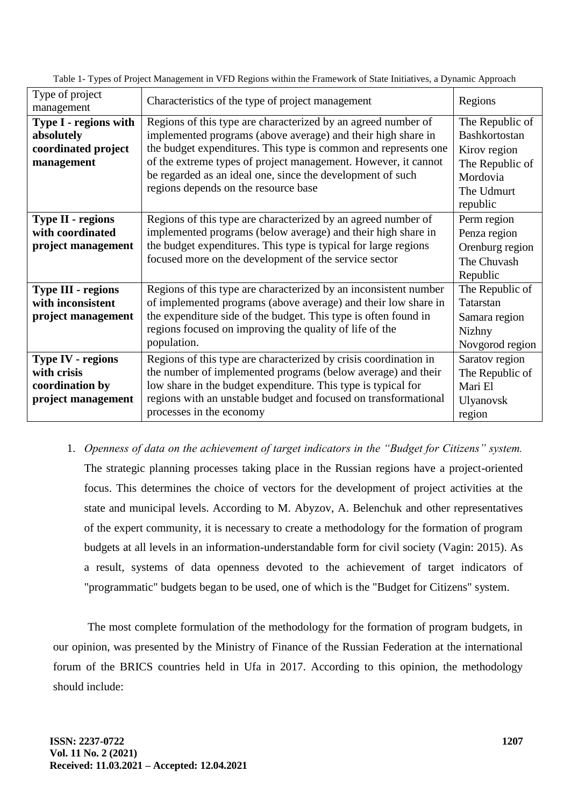| Type of project<br>management                                                    | Characteristics of the type of project management                                                                                                                                                                                                                                                                                                                        | Regions                                                                                                   |
|----------------------------------------------------------------------------------|--------------------------------------------------------------------------------------------------------------------------------------------------------------------------------------------------------------------------------------------------------------------------------------------------------------------------------------------------------------------------|-----------------------------------------------------------------------------------------------------------|
| Type I - regions with<br>absolutely<br>coordinated project<br>management         | Regions of this type are characterized by an agreed number of<br>implemented programs (above average) and their high share in<br>the budget expenditures. This type is common and represents one<br>of the extreme types of project management. However, it cannot<br>be regarded as an ideal one, since the development of such<br>regions depends on the resource base | The Republic of<br>Bashkortostan<br>Kirov region<br>The Republic of<br>Mordovia<br>The Udmurt<br>republic |
| <b>Type II - regions</b><br>with coordinated<br>project management               | Regions of this type are characterized by an agreed number of<br>implemented programs (below average) and their high share in<br>the budget expenditures. This type is typical for large regions<br>focused more on the development of the service sector                                                                                                                | Perm region<br>Penza region<br>Orenburg region<br>The Chuvash<br>Republic                                 |
| <b>Type III - regions</b><br>with inconsistent<br>project management             | Regions of this type are characterized by an inconsistent number<br>of implemented programs (above average) and their low share in<br>the expenditure side of the budget. This type is often found in<br>regions focused on improving the quality of life of the<br>population.                                                                                          | The Republic of<br>Tatarstan<br>Samara region<br>Nizhny<br>Novgorod region                                |
| <b>Type IV - regions</b><br>with crisis<br>coordination by<br>project management | Regions of this type are characterized by crisis coordination in<br>the number of implemented programs (below average) and their<br>low share in the budget expenditure. This type is typical for<br>regions with an unstable budget and focused on transformational<br>processes in the economy                                                                         | Saratov region<br>The Republic of<br>Mari El<br>Ulyanovsk<br>region                                       |

Table 1- Types of Project Management in VFD Regions within the Framework of State Initiatives, a Dynamic Approach

1. *Openness of data on the achievement of target indicators in the "Budget for Citizens" system.*  The strategic planning processes taking place in the Russian regions have a project-oriented focus. This determines the choice of vectors for the development of project activities at the

state and municipal levels. According to M. Abyzov, A. Belenchuk and other representatives of the expert community, it is necessary to create a methodology for the formation of program budgets at all levels in an information-understandable form for civil society (Vagin: 2015). As a result, systems of data openness devoted to the achievement of target indicators of "programmatic" budgets began to be used, one of which is the "Budget for Citizens" system.

The most complete formulation of the methodology for the formation of program budgets, in our opinion, was presented by the Ministry of Finance of the Russian Federation at the international forum of the BRICS countries held in Ufa in 2017. According to this opinion, the methodology should include: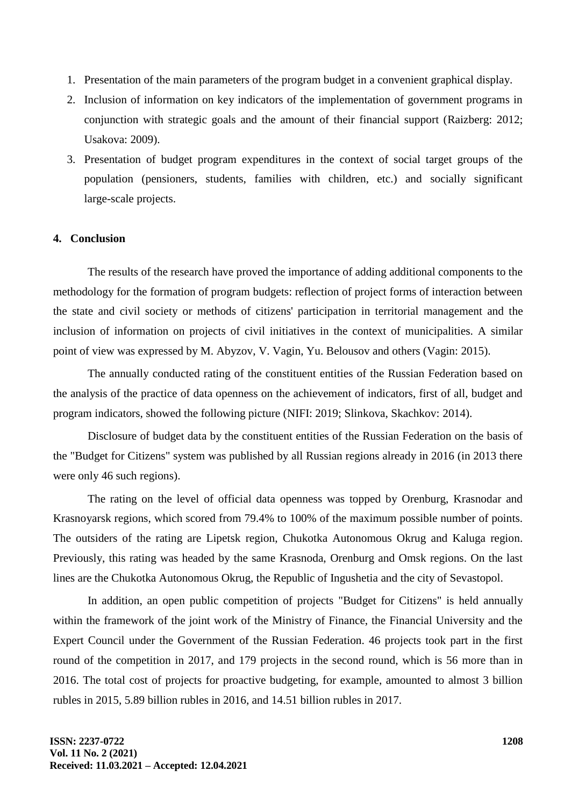- 1. Presentation of the main parameters of the program budget in a convenient graphical display.
- 2. Inclusion of information on key indicators of the implementation of government programs in conjunction with strategic goals and the amount of their financial support (Raizberg: 2012; Usakova: 2009).
- 3. Presentation of budget program expenditures in the context of social target groups of the population (pensioners, students, families with children, etc.) and socially significant large-scale projects.

#### **4. Conclusion**

The results of the research have proved the importance of adding additional components to the methodology for the formation of program budgets: reflection of project forms of interaction between the state and civil society or methods of citizens' participation in territorial management and the inclusion of information on projects of civil initiatives in the context of municipalities. A similar point of view was expressed by M. Abyzov, V. Vagin, Yu. Belousov and others (Vagin: 2015).

The annually conducted rating of the constituent entities of the Russian Federation based on the analysis of the practice of data openness on the achievement of indicators, first of all, budget and program indicators, showed the following picture (NIFI: 2019; Slinkova, Skachkov: 2014).

Disclosure of budget data by the constituent entities of the Russian Federation on the basis of the "Budget for Citizens" system was published by all Russian regions already in 2016 (in 2013 there were only 46 such regions).

The rating on the level of official data openness was topped by Orenburg, Krasnodar and Krasnoyarsk regions, which scored from 79.4% to 100% of the maximum possible number of points. The outsiders of the rating are Lipetsk region, Chukotka Autonomous Okrug and Kaluga region. Previously, this rating was headed by the same Krasnoda, Orenburg and Omsk regions. On the last lines are the Chukotka Autonomous Okrug, the Republic of Ingushetia and the city of Sevastopol.

In addition, an open public competition of projects "Budget for Citizens" is held annually within the framework of the joint work of the Ministry of Finance, the Financial University and the Expert Council under the Government of the Russian Federation. 46 projects took part in the first round of the competition in 2017, and 179 projects in the second round, which is 56 more than in 2016. The total cost of projects for proactive budgeting, for example, amounted to almost 3 billion rubles in 2015, 5.89 billion rubles in 2016, and 14.51 billion rubles in 2017.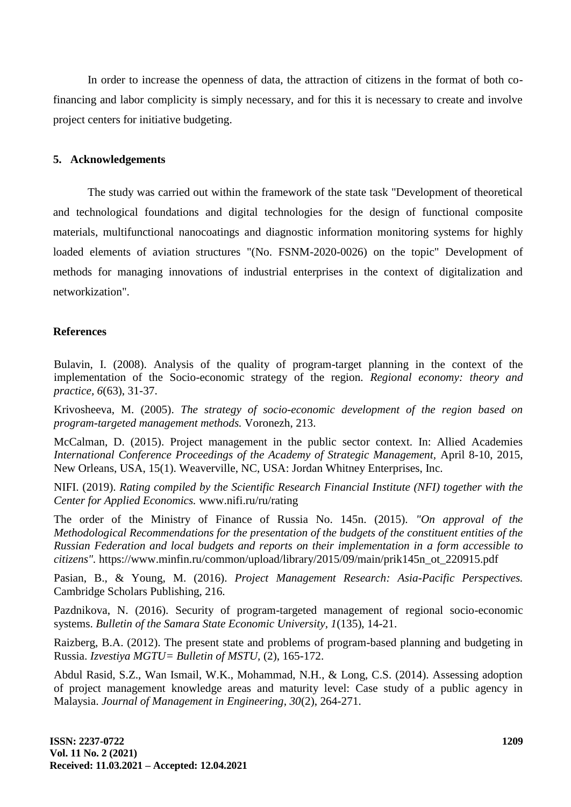In order to increase the openness of data, the attraction of citizens in the format of both cofinancing and labor complicity is simply necessary, and for this it is necessary to create and involve project centers for initiative budgeting.

### **5. Acknowledgements**

The study was carried out within the framework of the state task "Development of theoretical and technological foundations and digital technologies for the design of functional composite materials, multifunctional nanocoatings and diagnostic information monitoring systems for highly loaded elements of aviation structures "(No. FSNM-2020-0026) on the topic" Development of methods for managing innovations of industrial enterprises in the context of digitalization and networkization".

### **References**

Bulavin, I. (2008). Analysis of the quality of program-target planning in the context of the implementation of the Socio-economic strategy of the region. *Regional economy: theory and practice, 6*(63), 31-37.

Krivosheeva, M. (2005). *The strategy of socio-economic development of the region based on program-targeted management methods.* Voronezh, 213.

McCalman, D. (2015). Project management in the public sector context. In: Allied Academies *International Conference Proceedings of the Academy of Strategic Management,* April 8-10, 2015, New Orleans, USA, 15(1). Weaverville, NC, USA: Jordan Whitney Enterprises, Inc.

NIFI. (2019). *Rating compiled by the Scientific Research Financial Institute (NFI) together with the Center for Applied Economics.* www.nifi.ru/ru/rating

The order of the Ministry of Finance of Russia No. 145n. (2015). *"On approval of the Methodological Recommendations for the presentation of the budgets of the constituent entities of the Russian Federation and local budgets and reports on their implementation in a form accessible to citizens".* https://www.minfin.ru/common/upload/library/2015/09/main/prik145n\_ot\_220915.pdf

Pasian, B., & Young, M. (2016). *Project Management Research: Asia-Pacific Perspectives.* Cambridge Scholars Publishing, 216.

Pazdnikova, N. (2016). Security of program-targeted management of regional socio-economic systems. *Bulletin of the Samara State Economic University, 1*(135), 14-21.

Raizberg, B.A. (2012). The present state and problems of program-based planning and budgeting in Russia. *Izvestiya MGTU= Bulletin of MSTU,* (2), 165-172.

Abdul Rasid, S.Z., Wan Ismail, W.K., Mohammad, N.H., & Long, C.S. (2014). Assessing adoption of project management knowledge areas and maturity level: Case study of a public agency in Malaysia. *Journal of Management in Engineering, 30*(2), 264-271.